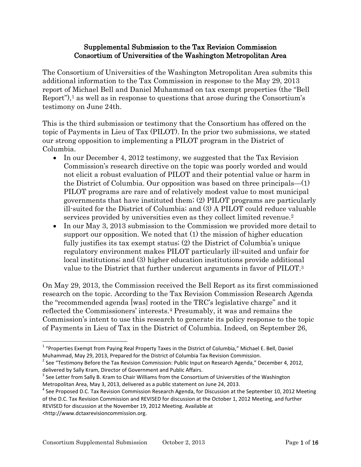### Supplemental Submission to the Tax Revision Commission Consortium of Universities of the Washington Metropolitan Area

The Consortium of Universities of the Washington Metropolitan Area submits this additional information to the Tax Commission in response to the May 29, 2013 report of Michael Bell and Daniel Muhammad on tax exempt properties (the "Bell Report"), <sup>1</sup> as well as in response to questions that arose during the Consortium's testimony on June 24th.

This is the third submission or testimony that the Consortium has offered on the topic of Payments in Lieu of Tax (PILOT). In the prior two submissions, we stated our strong opposition to implementing a PILOT program in the District of Columbia.

- In our December 4, 2012 testimony, we suggested that the Tax Revision Commission's research directive on the topic was poorly worded and would not elicit a robust evaluation of PILOT and their potential value or harm in the District of Columbia. Our opposition was based on three principals—(1) PILOT programs are rare and of relatively modest value to most municipal governments that have instituted them; (2) PILOT programs are particularly ill-suited for the District of Columbia; and (3) A PILOT could reduce valuable services provided by universities even as they collect limited revenue.<sup>2</sup>
- In our May 3, 2013 submission to the Commission we provided more detail to support our opposition. We noted that  $(1)$  the mission of higher education fully justifies its tax exempt status; (2) the District of Columbia's unique regulatory environment makes PILOT particularly ill-suited and unfair for local institutions; and (3) higher education institutions provide additional value to the District that further undercut arguments in favor of PILOT.<sup>3</sup>

On May 29, 2013, the Commission received the Bell Report as its first commissioned research on the topic. According to the Tax Revision Commission Research Agenda the "recommended agenda [was] rooted in the TRC's legislative charge" and it reflected the Commissioners' interests.<sup>4</sup> Presumably, it was and remains the Commission's intent to use this research to generate its policy response to the topic of Payments in Lieu of Tax in the District of Columbia. Indeed, on September 26,

 $\overline{\phantom{a}}$ <sup>1</sup> "Properties Exempt from Paying Real Property Taxes in the District of Columbia," Michael E. Bell, Daniel Muhammad, May 29, 2013, Prepared for the District of Columbia Tax Revision Commission.

<sup>&</sup>lt;sup>2</sup> See "Testimony Before the Tax Revision Commission: Public Input on Research Agenda," December 4, 2012, delivered by Sally Kram, Director of Government and Public Affairs.

 $3$  See Letter from Sally B. Kram to Chair Williams from the Consortium of Universities of the Washington Metropolitan Area, May 3, 2013, delivered as a public statement on June 24, 2013.

<sup>&</sup>lt;sup>4</sup> See Proposed D.C. Tax Revision Commission Research Agenda, for Discussion at the September 10, 2012 Meeting of the D.C. Tax Revision Commission and REVISED for discussion at the October 1, 2012 Meeting, and further REVISED for discussion at the November 19, 2012 Meeting. Available at

<sup>&</sup>lt;http://www.dctaxrevisioncommission.org.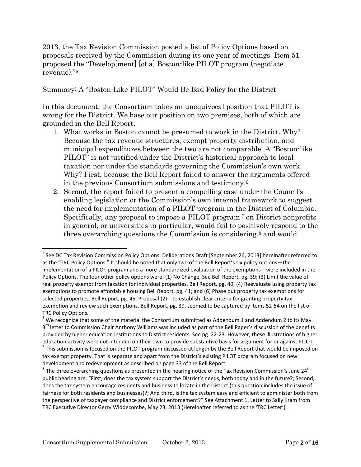2013, the Tax Revision Commission posted a list of Policy Options based on proposals received by the Commission during its one year of meetings. Item 51 proposed the "Develop[ment] [of a] Boston-like PILOT program (negotiate revenue)." 5

### Summary: A "Boston-Like PILOT" Would Be Bad Policy for the District

In this document, the Consortium takes an unequivocal position that PILOT is wrong for the District. We base our position on two premises, both of which are grounded in the Bell Report.

- 1. What works in Boston cannot be presumed to work in the District. Why? Because the tax revenue structures, exempt property distribution, and municipal expenditures between the two are not comparable. A "Boston-like PILOT" is not justified under the District's historical approach to local taxation nor under the standards governing the Commission's own work. Why? First, because the Bell Report failed to answer the arguments offered in the previous Consortium submissions and testimony.<sup>6</sup>
- 2. Second, the report failed to present a compelling case under the Council's enabling legislation or the Commission's own internal framework to suggest the need for implementation of a PILOT program in the District of Columbia. Specifically, any proposal to impose a PILOT program <sup>7</sup> on District nonprofits in general, or universities in particular, would fail to positively respond to the three overarching questions the Commission is considering, <sup>8</sup> and would

<sup>&</sup>lt;sup>5</sup> See DC Tax Revision Commission Policy Options: Deliberations Draft [September 26, 2013] hereinafter referred to as the "TRC Policy Options." It should be noted that only two of the Bell Report's six policy options—the implementation of a PILOT program and a more standardized evaluation of the exemptions—were included in the Policy Options. The four other policy options were: (1) No Change, See Bell Report, pg. 39; (3) Limit the value of real property exempt from taxation for individual properties, Bell Report, pg. 40; (4) Reevaluate using property tax exemptions to promote affordable housing Bell Report, pg. 41; and (6) Phase out property tax exemptions for selected properties. Bell Report, pg. 45. Proposal (2)---to establish clear criteria for granting property tax exemption and review such exemptions, Bell Report, pg. 39, seemed to be captured by items 52-54 on the list of TRC Policy Options.

 $6$  We recognize that some of the material the Consortium submitted as Addendum 1 and Addendum 2 to its May 3<sup>rd</sup> letter to Commission Chair Anthony Williams was included as part of the Bell Paper's discussion of the benefits provided by higher education institutions to District residents. See pg. 22-23. However, these illustrations of higher education activity were not intended on their own to provide substantive basis for argument for or against PILOT.  $^7$  This submission is focused on the PILOT program discussed at length by the Bell Report that would be imposed on

tax exempt property. That is separate and apart from the District's existing PILOT program focused on new development and redevelopment as described on page 33 of the Bell Report.

 $^8$  The three overarching questions as presented in the hearing notice of the Tax Revision Commission's June 24<sup>th</sup> public hearing are: "First, does the tax system support the District's needs, both today and in the future?; Second, does the tax system encourage residents and business to locate in the District (this question includes the issue of fairness for both residents and businesses)?; And third, is the tax system easy and efficient to administer both from the perspective of taxpayer compliance and District enforcement?" See Attachment 1, Letter to Sally Kram from TRC Executive Director Gerry Widdecombe, May 23, 2013 (Hereinafter referred to as the 'TRC Letter').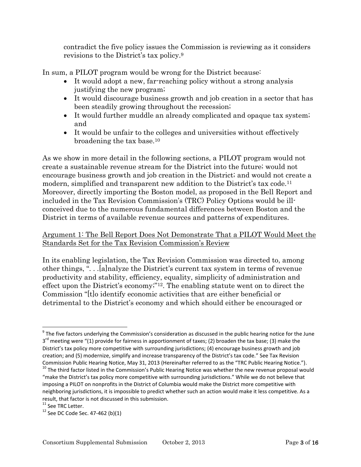contradict the five policy issues the Commission is reviewing as it considers revisions to the District's tax policy.<sup>9</sup>

In sum, a PILOT program would be wrong for the District because:

- It would adopt a new, far-reaching policy without a strong analysis justifying the new program;
- It would discourage business growth and job creation in a sector that has been steadily growing throughout the recession;
- It would further muddle an already complicated and opaque tax system; and
- It would be unfair to the colleges and universities without effectively broadening the tax base.<sup>10</sup>

As we show in more detail in the following sections, a PILOT program would not create a sustainable revenue stream for the District into the future; would not encourage business growth and job creation in the District; and would not create a modern, simplified and transparent new addition to the District's tax code.<sup>11</sup> Moreover, directly importing the Boston model, as proposed in the Bell Report and included in the Tax Revision Commission's (TRC) Policy Options would be illconceived due to the numerous fundamental differences between Boston and the District in terms of available revenue sources and patterns of expenditures.

# Argument 1: The Bell Report Does Not Demonstrate That a PILOT Would Meet the Standards Set for the Tax Revision Commission's Review

In its enabling legislation, the Tax Revision Commission was directed to, among other things, ". . .[a]nalyze the District's current tax system in terms of revenue productivity and stability, efficiency, equality, simplicity of administration and effect upon the District's economy;"12. The enabling statute went on to direct the Commission "[t]o identify economic activities that are either beneficial or detrimental to the District's economy and which should either be encouraged or

<sup>&</sup>lt;u>gence five factors underlying the Commission's consideration as discussed in the public hearing notice for the June</u><br>The five factors underlying the Commission's consideration as discussed in the public hearing notice for 3<sup>rd</sup> meeting were "(1) provide for fairness in apportionment of taxes; (2) broaden the tax base; (3) make the District's tax policy more competitive with surrounding jurisdictions; (4) encourage business growth and job creation; and (5) modernize, simplify and increase transparency of the District's tax code." See Tax Revision Commission Public Hearing Notice, May 31, 2013 (Hereinafter referred to as the "TRC Public Hearing Notice.").

<sup>10</sup> The third factor listed in the Commission's Public Hearing Notice was whether the new revenue proposal would "make the District's tax policy more competitive with surrounding jurisdictions." While we do not believe that imposing a PILOT on nonprofits in the District of Columbia would make the District more competitive with neighboring jurisdictions, it is impossible to predict whether such an action would make it less competitive. As a result, that factor is not discussed in this submission.

<sup>&</sup>lt;sup>11</sup> See TRC Letter.

 $12$  See DC Code Sec. 47-462 (b)(1)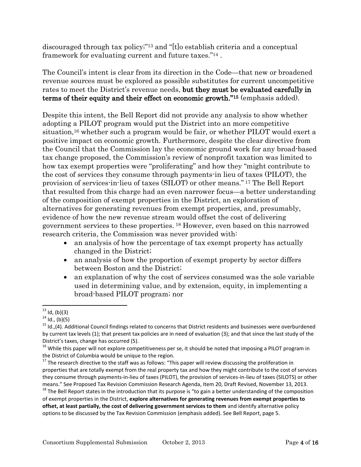discouraged through tax policy;" <sup>13</sup> and "[t]o establish criteria and a conceptual framework for evaluating current and future taxes." 14 .

The Council's intent is clear from its direction in the Code—that new or broadened revenue sources must be explored as possible substitutes for current uncompetitive rates to meet the District's revenue needs, but they must be evaluated carefully in terms of their equity and their effect on economic growth."15 (emphasis added).

Despite this intent, the Bell Report did not provide any analysis to show whether adopting a PILOT program would put the District into an more competitive situation, <sup>16</sup> whether such a program would be fair, or whether PILOT would exert a positive impact on economic growth. Furthermore, despite the clear directive from the Council that the Commission lay the economic ground work for any broad-based tax change proposed, the Commission's review of nonprofit taxation was limited to how tax exempt properties were "proliferating" and how they "might contribute to the cost of services they consume through payments-in lieu of taxes (PILOT), the provision of services-in-lieu of taxes (SILOT) or other means." <sup>17</sup> The Bell Report that resulted from this charge had an even narrower focus—a better understanding of the composition of exempt properties in the District, an exploration of alternatives for generating revenues from exempt properties, and, presumably, evidence of how the new revenue stream would offset the cost of delivering government services to these properties. <sup>18</sup> However, even based on this narrowed research criteria, the Commission was never provided with:

- an analysis of how the percentage of tax exempt property has actually changed in the District;
- an analysis of how the proportion of exempt property by sector differs between Boston and the District;
- an explanation of why the cost of services consumed was the sole variable used in determining value, and by extension, equity, in implementing a broad-based PILOT program; nor

<sup>17</sup> The research directive to the staff was as follows: "This paper will review discussing the proliferation in properties that are totally exempt from the real property tax and how they might contribute to the cost of services they consume through payments-in-lieu of taxes (PILOT), the provision of services-in-lieu of taxes (SILOTS) or other means." See Proposed Tax Revision Commission Research Agenda, Item 20, Draft Revised, November 13, 2013.

 $18$  The Bell Report states in the introduction that its purpose is "to gain a better understanding of the composition of exempt properties in the District, **explore alternatives for generating revenues from exempt properties to offset, at least partially, the cost of delivering government services to them** and identify alternative policy options to be discussed by the Tax Revision Commission (emphasis added). See Bell Report, page 5.

 $\overline{a}$  $13$  Id, (b)(3)

 $^{14}$  Id., (b)(5)

<sup>&</sup>lt;sup>15</sup> Id.,(4). Additional Council findings related to concerns that District residents and businesses were overburdened by current tax levels (1); that present tax policies are in need of evaluation (3); and that since the last study of the District's taxes, change has occurred (5).

 $16$  While this paper will not explore competitiveness per se, it should be noted that imposing a PILOT program in the District of Columbia would be unique to the region.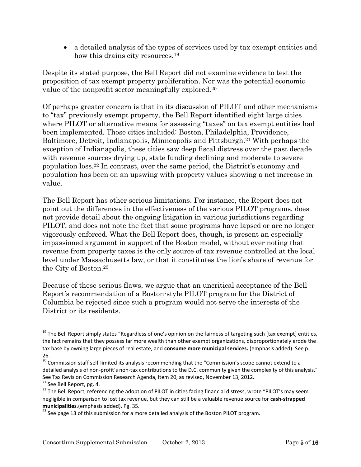a detailed analysis of the types of services used by tax exempt entities and how this drains city resources.<sup>19</sup>

Despite its stated purpose, the Bell Report did not examine evidence to test the proposition of tax exempt property proliferation. Nor was the potential economic value of the nonprofit sector meaningfully explored.<sup>20</sup>

Of perhaps greater concern is that in its discussion of PILOT and other mechanisms to "tax" previously exempt property, the Bell Report identified eight large cities where PILOT or alternative means for assessing "taxes" on tax exempt entities had been implemented. Those cities included: Boston, Philadelphia, Providence, Baltimore, Detroit, Indianapolis, Minneapolis and Pittsburgh.<sup>21</sup> With perhaps the exception of Indianapolis, these cities saw deep fiscal distress over the past decade with revenue sources drying up, state funding declining and moderate to severe population loss.<sup>22</sup> In contrast, over the same period, the District's economy and population has been on an upswing with property values showing a net increase in value.

The Bell Report has other serious limitations. For instance, the Report does not point out the differences in the effectiveness of the various PILOT programs, does not provide detail about the ongoing litigation in various jurisdictions regarding PILOT, and does not note the fact that some programs have lapsed or are no longer vigorously enforced. What the Bell Report does, though, is present an especially impassioned argument in support of the Boston model, without ever noting that revenue from property taxes is the only source of tax revenue controlled at the local level under Massachusetts law, or that it constitutes the lion's share of revenue for the City of Boston.<sup>23</sup>

Because of these serious flaws, we argue that an uncritical acceptance of the Bell Report's recommendation of a Boston-style PILOT program for the District of Columbia be rejected since such a program would not serve the interests of the District or its residents.

<sup>&</sup>lt;sup>19</sup> The Bell Report simply states "Regardless of one's opinion on the fairness of targeting such [tax exempt] entities, the fact remains that they possess far more wealth than other exempt organizations, disproportionately erode the tax base by owning large pieces of real estate, and **consume more municipal services.** (emphasis added). See p. 26.

<sup>&</sup>lt;sup>20</sup> Commission staff self-limited its analysis recommending that the "Commission's scope cannot extend to a detailed analysis of non-profit's non-tax contributions to the D.C. community given the complexity of this analysis." See Tax Revision Commission Research Agenda, Item 20, as revised, November 13, 2012.

 $21$  See Bell Report, pg. 4.

<sup>&</sup>lt;sup>22</sup> The Bell Report, referencing the adoption of PILOT in cities facing financial distress, wrote "PILOT's may seem negligible in comparison to lost tax revenue, but they can still be a valuable revenue source for **cash-strapped municipalities**.(emphasis added). Pg. 35.

<sup>&</sup>lt;sup>23</sup> See page 13 of this submission for a more detailed analysis of the Boston PILOT program.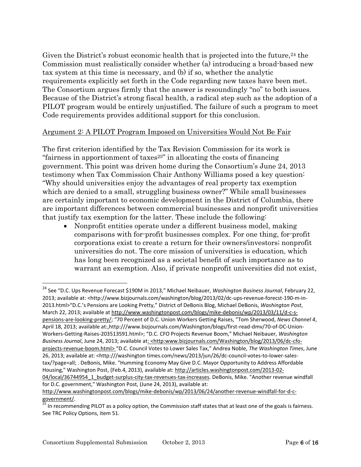Given the District's robust economic health that is projected into the future,<sup>24</sup> the Commission must realistically consider whether (a) introducing a broad-based new tax system at this time is necessary, and (b) if so, whether the analytic requirements explicitly set forth in the Code regarding new taxes have been met. The Consortium argues firmly that the answer is resoundingly "no" to both issues. Because of the District's strong fiscal health, a radical step such as the adoption of a PILOT program would be entirely unjustified. The failure of such a program to meet Code requirements provides additional support for this conclusion.

# Argument 2: A PILOT Program Imposed on Universities Would Not Be Fair

The first criterion identified by the Tax Revision Commission for its work is "fairness in apportionment of taxes<sup>25"</sup> in allocating the costs of financing government. This point was driven home during the Consortium's June 24, 2013 testimony when Tax Commission Chair Anthony Williams posed a key question: "Why should universities enjoy the advantages of real property tax exemption which are denied to a small, struggling business owner?" While small businesses are certainly important to economic development in the District of Columbia, there are important differences between commercial businesses and nonprofit universities that justify tax exemption for the latter. These include the following:

 Nonprofit entities operate under a different business model, making comparisons with for-profit businesses complex. For one thing, for-profit corporations exist to create a return for their owners/investors; nonprofit universities do not. The core mission of universities is education, which has long been recognized as a societal benefit of such importance as to warrant an exemption. Also, if private nonprofit universities did not exist,

<sup>24</sup> See "D.C. Ups Revenue Forecast \$190M in 2013," Michael Neibauer, *Washington Business Journal*, February 22, 2013; available at: <http://www.bizjournals.com/washington/blog/2013/02/dc-ups-revenue-forecst-190-m-in-2013.html>"D.C.'s Pensions are Looking Pretty," District of DeBonis Blog, Michael DeBonis, *Washington Post*, March 22, 2013; available at [http://www.washingtonpost.com/blogs/mike-debonis/wp/2013/03/11/d-c-s](http://www.washingtonpost.com/blogs/mike-debonis/wp/2013/03/11/d-c-s-pensions-are-looking-pretty/)[pensions-are-looking-pretty/](http://www.washingtonpost.com/blogs/mike-debonis/wp/2013/03/11/d-c-s-pensions-are-looking-pretty/); "70 Percent of D.C. Union Workers Getting Raises, "Tom Sherwood, *News Channel 4*, April 18, 2013; available at:,http:///www.bizjournals.com/Washington/blogs/first-read-dmv/70-of-DC-Union-Workers-Getting-Raises-203513591.html>; "D.C. CFO Projects Revenue Boom," Michael Neibauer, *Washington Business Journal*, June 24, 2013; available at: <http:www.bizjournals.com/Washington/blog/2013/06/dc-cfoprojects-revenue-boom.html> "D.C. Council Votes to Lower Sales Tax," Andrea Noble, *The Washington Times*, June 26, 2013; available at: <http:///washington times.com/news/2013/jun/26/dc-council-votes-to-lower-salestax/?page=all; . DeBonis, Mike. "Humming Economy May Give D.C. Mayor Opportunity to Address Affordable Housing," Washington Post, (Feb.4, 2013), available at: [http://articles.washingtonpost.com/2013-02-](http://articles.washingtonpost.com/2013-02-04/local/36744954_1_budget-surplus-city-tax-revenues-tax-increases) [04/local/36744954\\_1\\_budget-surplus-city-tax-revenues-tax-increases.](http://articles.washingtonpost.com/2013-02-04/local/36744954_1_budget-surplus-city-tax-revenues-tax-increases) DeBonis, Mike. "Another revenue windfall for D.C. government," Washington Post, (June 24, 2013), available at:

[http://www.washingtonpost.com/blogs/mike-debonis/wp/2013/06/24/another-revenue-windfall-for-d-c](http://www.washingtonpost.com/blogs/mike-debonis/wp/2013/06/24/another-revenue-windfall-for-d-c-government/)[government/.](http://www.washingtonpost.com/blogs/mike-debonis/wp/2013/06/24/another-revenue-windfall-for-d-c-government/)

 $\frac{25}{25}$  In recommending PILOT as a policy option, the Commission staff states that at least one of the goals is fairness. See TRC Policy Options, item 51.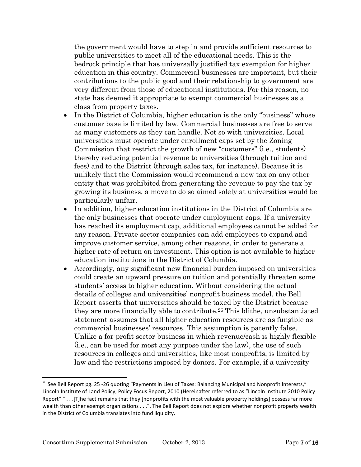the government would have to step in and provide sufficient resources to public universities to meet all of the educational needs. This is the bedrock principle that has universally justified tax exemption for higher education in this country. Commercial businesses are important, but their contributions to the public good and their relationship to government are very different from those of educational institutions. For this reason, no state has deemed it appropriate to exempt commercial businesses as a class from property taxes.

- In the District of Columbia, higher education is the only "business" whose customer base is limited by law. Commercial businesses are free to serve as many customers as they can handle. Not so with universities. Local universities must operate under enrollment caps set by the Zoning Commission that restrict the growth of new "customers" (i.e., students) thereby reducing potential revenue to universities (through tuition and fees) and to the District (through sales tax, for instance). Because it is unlikely that the Commission would recommend a new tax on any other entity that was prohibited from generating the revenue to pay the tax by growing its business, a move to do so aimed solely at universities would be particularly unfair.
- In addition, higher education institutions in the District of Columbia are the only businesses that operate under employment caps. If a university has reached its employment cap, additional employees cannot be added for any reason. Private sector companies can add employees to expand and improve customer service, among other reasons, in order to generate a higher rate of return on investment. This option is not available to higher education institutions in the District of Columbia.
- Accordingly, any significant new financial burden imposed on universities could create an upward pressure on tuition and potentially threaten some students' access to higher education. Without considering the actual details of colleges and universities' nonprofit business model, the Bell Report asserts that universities should be taxed by the District because they are more financially able to contribute.<sup>26</sup> This blithe, unsubstantiated statement assumes that all higher education resources are as fungible as commercial businesses' resources. This assumption is patently false. Unlike a for-profit sector business in which revenue/cash is highly flexible (i.e., can be used for most any purpose under the law), the use of such resources in colleges and universities, like most nonprofits, is limited by law and the restrictions imposed by donors. For example, if a university

<sup>&</sup>lt;sup>26</sup> See Bell Report pg. 25 -26 quoting "Payments in Lieu of Taxes: Balancing Municipal and Nonprofit Interests," Lincoln Institute of Land Policy, Policy Focus Report, 2010 (Hereinafter referred to as "Lincoln Institute 2010 Policy Report" " . . .[T]he fact remains that they [nonprofits with the most valuable property holdings] possess far more wealth than other exempt organizations . . .". The Bell Report does not explore whether nonprofit property wealth in the District of Columbia translates into fund liquidity.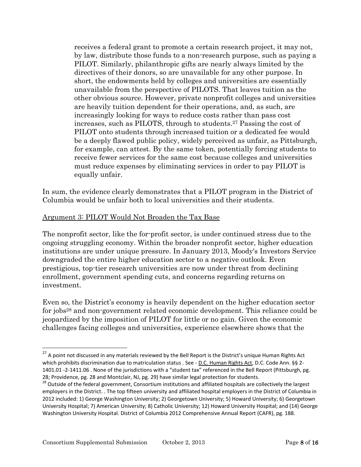receives a federal grant to promote a certain research project, it may not, by law, distribute those funds to a non-research purpose, such as paying a PILOT. Similarly, philanthropic gifts are nearly always limited by the directives of their donors, so are unavailable for any other purpose. In short, the endowments held by colleges and universities are essentially unavailable from the perspective of PILOTS. That leaves tuition as the other obvious source. However, private nonprofit colleges and universities are heavily tuition dependent for their operations, and, as such, are increasingly looking for ways to reduce costs rather than pass cost increases, such as PILOTS, through to students.<sup>27</sup> Passing the cost of PILOT onto students through increased tuition or a dedicated fee would be a deeply flawed public policy, widely perceived as unfair, as Pittsburgh, for example, can attest. By the same token, potentially forcing students to receive fewer services for the same cost because colleges and universities must reduce expenses by eliminating services in order to pay PILOT is equally unfair.

In sum, the evidence clearly demonstrates that a PILOT program in the District of Columbia would be unfair both to local universities and their students.

# Argument 3: PILOT Would Not Broaden the Tax Base

The nonprofit sector, like the for-profit sector, is under continued stress due to the ongoing struggling economy. Within the broader nonprofit sector, higher education institutions are under unique pressure. In January 2013, Moody's Investors Service downgraded the entire higher education sector to a negative outlook. Even prestigious, top-tier research universities are now under threat from declining enrollment, government spending cuts, and concerns regarding returns on investment.

Even so, the District's economy is heavily dependent on the higher education sector for jobs<sup>28</sup> and non-government related economic development. This reliance could be jeopardized by the imposition of PILOT for little or no gain. Given the economic challenges facing colleges and universities, experience elsewhere shows that the

<sup>&</sup>lt;sup>27</sup> A point not discussed in any materials reviewed by the Bell Report is the District's unique Human Rights Act which prohibits discrimination due to matriculation status . See - D.C. Human Rights Act, D.C. Code Ann. §§ 2- 1401.01 -2-1411.06 . None of the jurisdictions with a "student tax" referenced in the Bell Report (Pittsburgh, pg. 28; Providence, pg. 28 and Montclair, NJ, pg. 29) have similar legal protection for students.

<sup>&</sup>lt;sup>28</sup> Outside of the federal government, Consortium institutions and affiliated hospitals are collectively the largest employers in the District. . The top fifteen university and affiliated hospital employers in the District of Columbia in 2012 included: 1) George Washington University; 2) Georgetown University; 5) Howard University; 6) Georgetown University Hospital; 7) American University; 8) Catholic University; 12) Howard University Hospital; and (14) George Washington University Hospital. District of Columbia 2012 Comprehensive Annual Report (CAFR), pg. 188.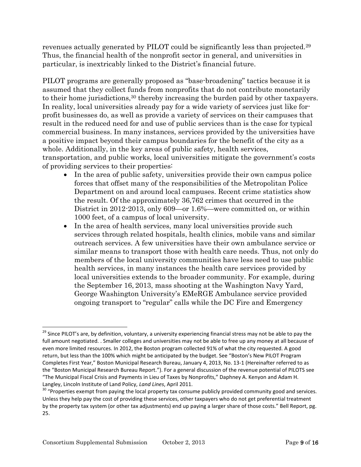revenues actually generated by PILOT could be significantly less than projected.<sup>29</sup> Thus, the financial health of the nonprofit sector in general, and universities in particular, is inextricably linked to the District's financial future.

PILOT programs are generally proposed as "base-broadening" tactics because it is assumed that they collect funds from nonprofits that do not contribute monetarily to their home jurisdictions, <sup>30</sup> thereby increasing the burden paid by other taxpayers. In reality, local universities already pay for a wide variety of services just like forprofit businesses do, as well as provide a variety of services on their campuses that result in the reduced need for and use of public services than is the case for typical commercial business. In many instances, services provided by the universities have a positive impact beyond their campus boundaries for the benefit of the city as a whole. Additionally, in the key areas of public safety, health services, transportation, and public works, local universities mitigate the government's costs of providing services to their properties:

- In the area of public safety, universities provide their own campus police forces that offset many of the responsibilities of the Metropolitan Police Department on and around local campuses. Recent crime statistics show the result. Of the approximately 36,762 crimes that occurred in the District in 2012-2013, only 609—or 1.6%—were committed on, or within 1000 feet, of a campus of local university.
- In the area of health services, many local universities provide such services through related hospitals, health clinics, mobile vans and similar outreach services. A few universities have their own ambulance service or similar means to transport those with health care needs. Thus, not only do members of the local university communities have less need to use public health services, in many instances the health care services provided by local universities extends to the broader community. For example, during the September 16, 2013, mass shooting at the Washington Navy Yard, George Washington University's EMeRGE Ambulance service provided ongoing transport to "regular" calls while the DC Fire and Emergency

<sup>&</sup>lt;sup>29</sup> Since PILOT's are, by definition, voluntary, a university experiencing financial stress may not be able to pay the full amount negotiated. . Smaller colleges and universities may not be able to free up any money at all because of even more limited resources. In 2012, the Boston program collected 91% of what the city requested. A good return, but less than the 100% which might be anticipated by the budget. See "Boston's New PILOT Program Completes First Year," Boston Municipal Research Bureau, January 4, 2013, No. 13-1 (Hereinafter referred to as the "Boston Municipal Research Bureau Report."). For a general discussion of the revenue potential of PILOTS see "The Municipal Fiscal Crisis and Payments in Lieu of Taxes by Nonprofits," Daphney A. Kenyon and Adam H. Langley, Lincoln Institute of Land Policy, *Land Lines*, April 2011.

<sup>&</sup>lt;sup>30</sup> "Properties exempt from paying the local property tax consume publicly provided community good and services. Unless they help pay the cost of providing these services, other taxpayers who do not get preferential treatment by the property tax system (or other tax adjustments) end up paying a larger share of those costs." Bell Report, pg. 25.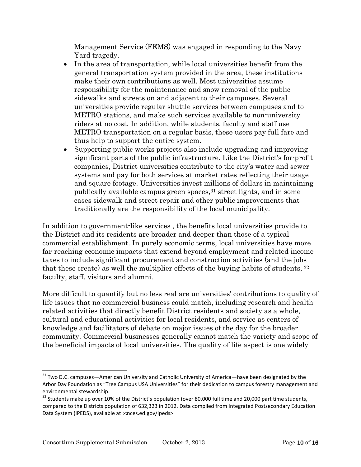Management Service (FEMS) was engaged in responding to the Navy Yard tragedy.

- In the area of transportation, while local universities benefit from the general transportation system provided in the area, these institutions make their own contributions as well. Most universities assume responsibility for the maintenance and snow removal of the public sidewalks and streets on and adjacent to their campuses. Several universities provide regular shuttle services between campuses and to METRO stations, and make such services available to non-university riders at no cost. In addition, while students, faculty and staff use METRO transportation on a regular basis, these users pay full fare and thus help to support the entire system.
- Supporting public works projects also include upgrading and improving significant parts of the public infrastructure. Like the District's for-profit companies, District universities contribute to the city's water and sewer systems and pay for both services at market rates reflecting their usage and square footage. Universities invest millions of dollars in maintaining publically available campus green spaces, <sup>31</sup> street lights, and in some cases sidewalk and street repair and other public improvements that traditionally are the responsibility of the local municipality.

In addition to government-like services , the benefits local universities provide to the District and its residents are broader and deeper than those of a typical commercial establishment. In purely economic terms, local universities have more far-reaching economic impacts that extend beyond employment and related income taxes to include significant procurement and construction activities (and the jobs that these create) as well the multiplier effects of the buying habits of students, <sup>32</sup> faculty, staff, visitors and alumni.

More difficult to quantify but no less real are universities' contributions to quality of life issues that no commercial business could match, including research and health related activities that directly benefit District residents and society as a whole, cultural and educational activities for local residents, and service as centers of knowledge and facilitators of debate on major issues of the day for the broader community. Commercial businesses generally cannot match the variety and scope of the beneficial impacts of local universities. The quality of life aspect is one widely

l <sup>31</sup> Two D.C. campuses—American University and Catholic University of America—have been designated by the Arbor Day Foundation as "Tree Campus USA Universities" for their dedication to campus forestry management and environmental stewardship.

<sup>&</sup>lt;sup>32</sup> Students make up over 10% of the District's population (over 80,000 full time and 20,000 part time students, compared to the Districts population of 632,323 in 2012. Data compiled from Integrated Postsecondary Education Data System (IPEDS), available at :<nces.ed.gov/ipeds>.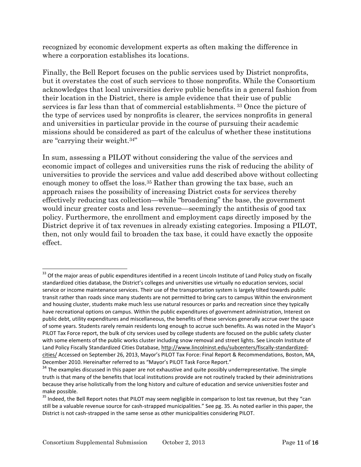recognized by economic development experts as often making the difference in where a corporation establishes its locations.

Finally, the Bell Report focuses on the public services used by District nonprofits, but it overstates the cost of such services to those nonprofits. While the Consortium acknowledges that local universities derive public benefits in a general fashion from their location in the District, there is ample evidence that their use of public services is far less than that of commercial establishments. <sup>33</sup> Once the picture of the type of services used by nonprofits is clearer, the services nonprofits in general and universities in particular provide in the course of pursuing their academic missions should be considered as part of the calculus of whether these institutions are "carrying their weight.34"

In sum, assessing a PILOT without considering the value of the services and economic impact of colleges and universities runs the risk of reducing the ability of universities to provide the services and value add described above without collecting enough money to offset the loss.<sup>35</sup> Rather than growing the tax base, such an approach raises the possibility of increasing District costs for services thereby effectively reducing tax collection—while "broadening" the base, the government would incur greater costs and less revenue—seemingly the antithesis of good tax policy. Furthermore, the enrollment and employment caps directly imposed by the District deprive it of tax revenues in already existing categories. Imposing a PILOT, then, not only would fail to broaden the tax base, it could have exactly the opposite effect.

<sup>&</sup>lt;sup>33</sup> Of the major areas of public expenditures identified in a recent Lincoln Institute of Land Policy study on fiscally standardized cities database, the District's colleges and universities use virtually no education services, social service or income maintenance services. Their use of the transportation system is largely tilted towards public transit rather than roads since many students are not permitted to bring cars to campus Within the environment and housing cluster, students make much less use natural resources or parks and recreation since they typically have recreational options on campus. Within the public expenditures of government administration, Interest on public debt, utility expenditures and miscellaneous, the benefits of these services generally accrue over the space of some years. Students rarely remain residents long enough to accrue such benefits. As was noted in the Mayor's PILOT Tax Force report, the bulk of city services used by college students are focused on the public safety cluster with some elements of the public works cluster including snow removal and street lights. See Lincoln Institute of Land Policy Fiscally Standardized Cities Database[, http://www.lincolninst.edu/subcenters/fiscally-standardized](http://www.lincolninst.edu/subcenters/fiscally-standardized-cities/)[cities/](http://www.lincolninst.edu/subcenters/fiscally-standardized-cities/) Accessed on September 26, 2013, Mayor's PILOT Tax Force: Final Report & Recommendations, Boston, MA, December 2010. Hereinafter referred to as "Mayor's PILOT Task Force Report."

<sup>&</sup>lt;sup>34</sup> The examples discussed in this paper are not exhaustive and quite possibly underrepresentative. The simple truth is that many of the benefits that local institutions provide are not routinely tracked by their administrations because they arise holistically from the long history and culture of education and service universities foster and make possible.

<sup>&</sup>lt;sup>35</sup> Indeed, the Bell Report notes that PILOT may seem negligible in comparison to lost tax revenue, but they "can still be a valuable revenue source for cash-strapped municipalities." See pg. 35. As noted earlier in this paper, the District is not cash-strapped in the same sense as other municipalities considering PILOT.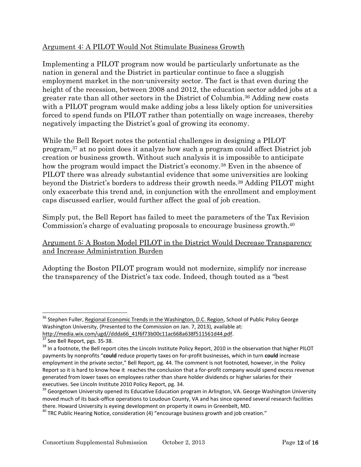# Argument 4: A PILOT Would Not Stimulate Business Growth

Implementing a PILOT program now would be particularly unfortunate as the nation in general and the District in particular continue to face a sluggish employment market in the non-university sector. The fact is that even during the height of the recession, between 2008 and 2012, the education sector added jobs at a greater rate than all other sectors in the District of Columbia. <sup>36</sup> Adding new costs with a PILOT program would make adding jobs a less likely option for universities forced to spend funds on PILOT rather than potentially on wage increases, thereby negatively impacting the District's goal of growing its economy.

While the Bell Report notes the potential challenges in designing a PILOT program, <sup>37</sup> at no point does it analyze how such a program could affect District job creation or business growth. Without such analysis it is impossible to anticipate how the program would impact the District's economy.<sup>38</sup> Even in the absence of PILOT there was already substantial evidence that some universities are looking beyond the District's borders to address their growth needs. <sup>39</sup> Adding PILOT might only exacerbate this trend and, in conjunction with the enrollment and employment caps discussed earlier, would further affect the goal of job creation.

Simply put, the Bell Report has failed to meet the parameters of the Tax Revision Commission's charge of evaluating proposals to encourage business growth.<sup>40</sup>

### Argument 5: A Boston Model PILOT in the District Would Decrease Transparency and Increase Administration Burden

Adopting the Boston PILOT program would not modernize, simplify nor increase the transparency of the District's tax code. Indeed, though touted as a "best

<sup>&</sup>lt;sup>36</sup> Stephen Fuller, <u>Regional Economic Trends in the Washington, D.C. Region</u>, School of Public Policy George Washington University, (Presented to the Commission on Jan. 7, 2013), available at: [http://media.wix.com/ugd//ddda66\\_41f6f73b00c11ac668a638f511561d44.pdf.](http://media.wix.com/ugd/ddda66_41f6f73b00c11ac668a638f511561d44.pdf)

 $\frac{37}{37}$  See Bell Report, pgs. 35-38.

<sup>&</sup>lt;sup>38</sup> In a footnote, the Bell report cites the Lincoln Institute Policy Report, 2010 in the observation that higher PILOT payments by nonprofits "**could** reduce property taxes on for-profit businesses, which in turn **could** increase employment in the private sector," Bell Report, pg. 44. The comment is not footnoted, however, in the Policy Report so it is hard to know how it reaches the conclusion that a for-profit company would spend excess revenue generated from lower taxes on employees rather than share holder dividends or higher salaries for their executives. See Lincoln Institute 2010 Policy Report, pg. 34.

<sup>&</sup>lt;sup>39</sup> Georgetown University opened its Educative Education program in Arlington, VA. George Washington University moved much of its back-office operations to Loudoun County, VA and has since opened several research facilities there. Howard University is eyeing development on property it owns in Greenbelt, MD.

 $40$  TRC Public Hearing Notice, consideration (4) "encourage business growth and job creation."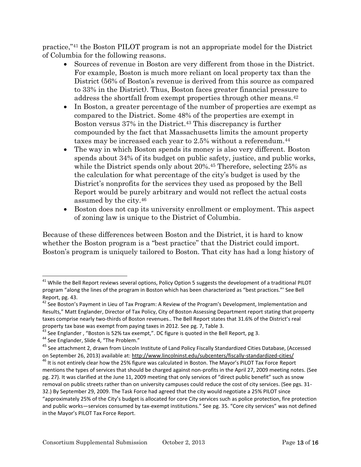practice,"<sup>41</sup> the Boston PILOT program is not an appropriate model for the District of Columbia for the following reasons.

- Sources of revenue in Boston are very different from those in the District. For example, Boston is much more reliant on local property tax than the District (56% of Boston's revenue is derived from this source as compared to 33% in the District). Thus, Boston faces greater financial pressure to address the shortfall from exempt properties through other means.<sup>42</sup>
- In Boston, a greater percentage of the number of properties are exempt as compared to the District. Some 48% of the properties are exempt in Boston versus 37% in the District.<sup>43</sup> This discrepancy is further compounded by the fact that Massachusetts limits the amount property taxes may be increased each year to 2.5% without a referendum.<sup>44</sup>
- The way in which Boston spends its money is also very different. Boston spends about 34% of its budget on public safety, justice, and public works, while the District spends only about 20%.<sup>45</sup> Therefore, selecting 25% as the calculation for what percentage of the city's budget is used by the District's nonprofits for the services they used as proposed by the Bell Report would be purely arbitrary and would not reflect the actual costs assumed by the city.<sup>46</sup>
- Boston does not cap its university enrollment or employment. This aspect of zoning law is unique to the District of Columbia.

Because of these differences between Boston and the District, it is hard to know whether the Boston program is a "best practice" that the District could import. Boston's program is uniquely tailored to Boston. That city has had a long history of

 $41$  While the Bell Report reviews several options, Policy Option 5 suggests the development of a traditional PILOT program "along the lines of the program in Boston which has been characterized as "best practices."' See Bell Report, pg. 43.

 $42$  See Boston's Payment in Lieu of Tax Program: A Review of the Program's Development, Implementation and Results," Matt Englander, Director of Tax Policy, City of Boston Assessing Department report stating that property taxes comprise nearly two-thirds of Boston revenues.. The Bell Report states that 31.6% of the District's real property tax base was exempt from paying taxes in 2012. See pg. 7, Table 3.

 $^{43}$  See Englander , "Boston is 52% tax exempt,". DC figure is quoted in the Bell Report, pg 3.

<sup>44</sup> See Englander, Slide 4, "The Problem."

<sup>&</sup>lt;sup>45</sup> See attachment 2, drawn from Lincoln Institute of Land Policy Fiscally Standardized Cities Database, (Accessed on September 26, 2013) available at[: http://www.lincolninst.edu/subcenters/fiscally-standardized-cities/](http://www.lincolninst.edu/subcenters/fiscally-standardized-cities/)

<sup>&</sup>lt;sup>46</sup> It is not entirely clear how the 25% figure was calculated in Boston. The Mayor's PILOT Tax Force Report mentions the types of services that should be charged against non-profits in the April 27, 2009 meeting notes. (See pg. 27). It was clarified at the June 11, 2009 meeting that only services of "direct public benefit" such as snow removal on public streets rather than on university campuses could reduce the cost of city services. (See pgs. 31- 32.) By September 29, 2009. The Task Force had agreed that the city would negotiate a 25% PILOT since "approximately 25% of the City's budget is allocated for core City services such as police protection, fire protection and public works—services consumed by tax-exempt institutions." See pg. 35. "Core city services" was not defined in the Mayor's PILOT Tax Force Report.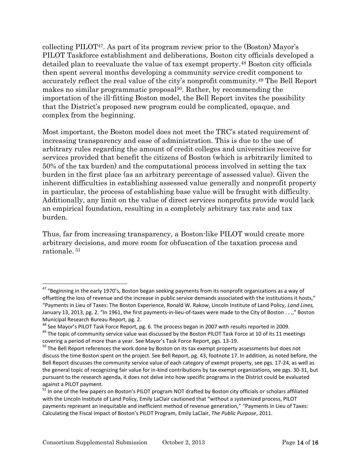collecting PILOT47. As part of its program review prior to the (Boston) Mayor's PILOT Taskforce establishment and deliberations, Boston city officials developed a detailed plan to reevaluate the value of tax exempt property.<sup>48</sup> Boston city officials then spent several months developing a community service credit component to accurately reflect the real value of the city's nonprofit community.<sup>49</sup> The Bell Report makes no similar programmatic proposal<sup>50</sup>. Rather, by recommending the importation of the ill-fitting Boston model, the Bell Report invites the possibility that the District's proposed new program could be complicated, opaque, and complex from the beginning.

Most important, the Boston model does not meet the TRC's stated requirement of increasing transparency and ease of administration. This is due to the use of arbitrary rules regarding the amount of credit colleges and universities receive for services provided that benefit the citizens of Boston (which is arbitrarily limited to 50% of the tax burden) and the computational process involved in setting the tax burden in the first place (as an arbitrary percentage of assessed value). Given the inherent difficulties in establishing assessed value generally and nonprofit property in particular, the process of establishing base value will be fraught with difficulty. Additionally, any limit on the value of direct services nonprofits provide would lack an empirical foundation, resulting in a completely arbitrary tax rate and tax burden.

Thus, far from increasing transparency, a Boston-like PILOT would create more arbitrary decisions, and more room for obfuscation of the taxation process and rationale. <sup>51</sup>

 $^{47}$  "Beginning in the early 1970's, Boston began seeking payments from its nonprofit organizations as a way of offsetting the loss of revenue and the increase in public service demands associated with the institutions it hosts," "Payments in Lieu of Taxes: The Boston Experience, Ronald W. Rakow, Lincoln Institute of Land Policy, *Land Lines,* January 13, 2013, pg. 2. "In 1961, the first payments-in-lieu-of-taxes were made to the City of Boston . . .," Boston Municipal Research Bureau Report, pg. 2.

 $^{48}$  See Mayor's PILOT Task Force Report, pg. 6. The process began in 2007 with results reported in 2009.

<sup>&</sup>lt;sup>49</sup> The topic of community service value was discussed by the Boston PILOT Task Force at 10 of its 11 meetings covering a period of more than a year. See Mayor's Task Force Report, pgs. 13-19.

<sup>&</sup>lt;sup>50</sup> The Bell Report references the work done by Boston on its tax exempt property assessments but does not discuss the time Boston spent on the project. See Bell Report, pg. 43, footnote 17. In addition, as noted before, the Bell Report discusses the community service value of each category of exempt property, see pgs. 17-24, as well as the general topic of recognizing fair value for in-kind contributions by tax exempt organizations, see pgs. 30-31, but pursuant to the research agenda, it does not delve into how specific programs in the District could be evaluated against a PILOT payment.

<sup>&</sup>lt;sup>51</sup> In one of the few papers on Boston's PILOT program NOT drafted by Boston city officials or scholars affiliated with the Lincoln Institute of Land Policy, Emily LaClair cautioned that "without a systemized process, PILOT payments represent an inequitable and inefficient method of revenue generation," "Payments in Lieu of Taxes: Calculating the Fiscal Impact of Boston's PILOT Program, Emily LaClair, *The Public Purpose*, 2011.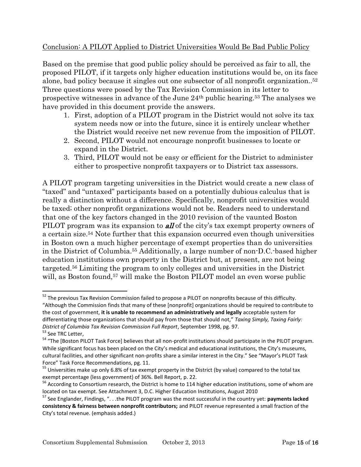### Conclusion: A PILOT Applied to District Universities Would Be Bad Public Policy

Based on the premise that good public policy should be perceived as fair to all, the proposed PILOT, if it targets only higher education institutions would be, on its face alone, bad policy because it singles out one subsector of all nonprofit organization.. 52 Three questions were posed by the Tax Revision Commission in its letter to prospective witnesses in advance of the June 24th public hearing. <sup>53</sup> The analyses we have provided in this document provide the answers.

- 1. First, adoption of a PILOT program in the District would not solve its tax system needs now or into the future, since it is entirely unclear whether the District would receive net new revenue from the imposition of PILOT.
- 2. Second, PILOT would not encourage nonprofit businesses to locate or expand in the District.
- 3. Third, PILOT would not be easy or efficient for the District to administer either to prospective nonprofit taxpayers or to District tax assessors.

A PILOT program targeting universities in the District would create a new class of "taxed" and "untaxed" participants based on a potentially dubious calculus that is really a distinction without a difference. Specifically, nonprofit universities would be taxed; other nonprofit organizations would not be. Readers need to understand that one of the key factors changed in the 2010 revision of the vaunted Boston PILOT program was its expansion to **all** of the city's tax exempt property owners of a certain size.<sup>54</sup> Note further that this expansion occurred even though universities in Boston own a much higher percentage of exempt properties than do universities in the District of Columbia.<sup>55</sup> Additionally, a large number of non-D.C.-based higher education institutions own property in the District but, at present, are not being targeted. <sup>56</sup> Limiting the program to only colleges and universities in the District will, as Boston found,<sup>57</sup> will make the Boston PILOT model an even worse public

 $\overline{a}$ 

<sup>&</sup>lt;sup>52</sup> The previous Tax Revision Commission failed to propose a PILOT on nonprofits because of this difficulty. "Although the Commission finds that many of these [nonprofit] organizations should be required to contribute to the cost of government, **it is unable to recommend an administratively and legally** acceptable system for differentiating those organizations that should pay from those that should not," *Taxing Simply, Taxing Fairly: District of Columbia Tax Revision Commission Full Report*, September 1998, pg. 97. <sup>53</sup> See TRC Letter,

<sup>&</sup>lt;sup>54</sup> "The [Boston PILOT Task Force] believes that all non-profit institutions should participate in the PILOT program. While significant focus has been placed on the City's medical and educational institutions, the City's museums, cultural facilities, and other significant non-profits share a similar interest in the City." See "Mayor's PILOT Task Force" Task Force Recommendations, pg. 11.

<sup>55</sup> Universities make up only 6.8% of tax exempt property in the District (by value) compared to the total tax exempt percentage (less government) of 36%. Bell Report, p. 22.

<sup>&</sup>lt;sup>56</sup> According to Consortium research, the District is home to 114 higher education institutions, some of whom are located on tax exempt. See Attachment 3, D.C. Higher Education Institutions, August 2010

<sup>57</sup> See Englander, Findings, ". . .the PILOT program was the most successful in the country yet: **payments lacked consistency & fairness between nonprofit contributors;** and PILOT revenue represented a small fraction of the City's total revenue. (emphasis added.)